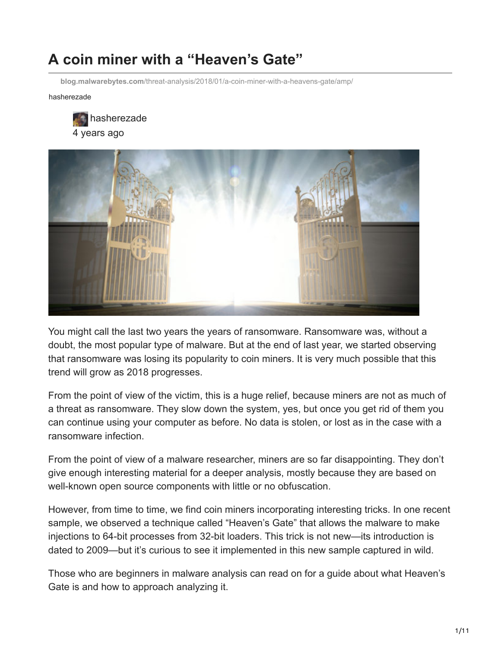# **A coin miner with a "Heaven's Gate"**

**blog.malwarebytes.com**[/threat-analysis/2018/01/a-coin-miner-with-a-heavens-gate/amp/](https://blog.malwarebytes.com/threat-analysis/2018/01/a-coin-miner-with-a-heavens-gate/amp/)

hasherezade





You might call the last two years the years of ransomware. Ransomware was, without a doubt, the most popular type of malware. But at the end of last year, we started observing that ransomware was losing its popularity to coin miners. It is very much possible that this trend will grow as 2018 progresses.

From the point of view of the victim, this is a huge relief, because miners are not as much of a threat as ransomware. They slow down the system, yes, but once you get rid of them you can continue using your computer as before. No data is stolen, or lost as in the case with a ransomware infection.

From the point of view of a malware researcher, miners are so far disappointing. They don't give enough interesting material for a deeper analysis, mostly because they are based on well-known open source components with little or no obfuscation.

However, from time to time, we find coin miners incorporating interesting tricks. In one recent sample, we observed a technique called "Heaven's Gate" that allows the malware to make injections to 64-bit processes from 32-bit loaders. This trick is not new—its introduction is dated to 2009—but it's curious to see it implemented in this new sample captured in wild.

Those who are beginners in malware analysis can read on for a guide about what Heaven's Gate is and how to approach analyzing it.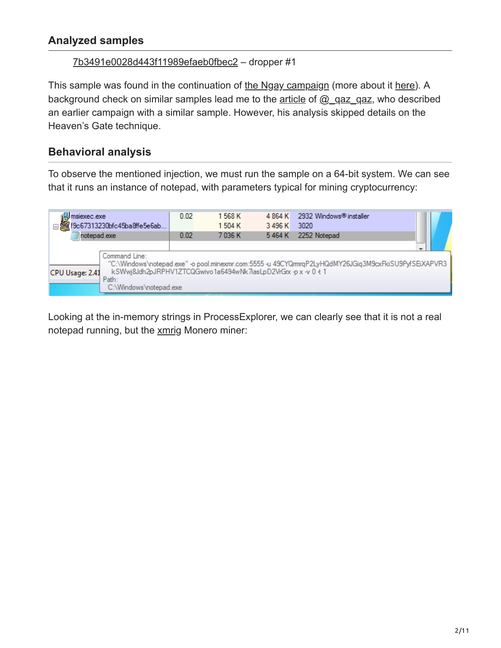# **Analyzed samples**

#### [7b3491e0028d443f11989efaeb0fbec2](https://www.virustotal.com/#/file/f9c67313230bfc45ba8ffe5e6abeb8b7dc2eddc99c9cebc111fcd7c50d11dc80/details) – dropper #1

This sample was found in the continuation of [the Ngay campaign](https://blog.malwarebytes.com/threat-analysis/2018/01/rig-exploit-kit-campaign-gets-deep-into-crypto-craze/) (more about it [here](http://malware-traffic-analysis.net/2018/01/11/index.html)). A background check on similar samples lead me to the [article](https://secrary.com/ReversingMalware/CoinMiner/) of [@\\_qaz\\_qaz](https://twitter.com/_qaz_qaz), who described an earlier campaign with a similar sample. However, his analysis skipped details on the Heaven's Gate technique.

#### **Behavioral analysis**

To observe the mentioned injection, we must run the sample on a 64-bit system. We can see that it runs an instance of notepad, with parameters typical for mining cryptocurrency:

| Minsiexec.exe<br>19c67313230bfc45ba8ffe5e6ab | 0.02                                                                                                                                                                                      | 1568K<br>1504K | 4 8 6 4 K<br>3496K | 2932 Windows® installer<br>3020 |  |  |  |  |
|----------------------------------------------|-------------------------------------------------------------------------------------------------------------------------------------------------------------------------------------------|----------------|--------------------|---------------------------------|--|--|--|--|
| notepad.exe                                  | 0.02                                                                                                                                                                                      | 7036K          | 5464K              | 2252 Notepad                    |  |  |  |  |
| Command Line:<br>CPU Usage: 2.41<br>Path:    | C:\Windows\notepad.exe" -o pool.minexmr.com:5555 -u 49CYQmrqP2LyHQdMY26JGiq3M9cxFkiSU9PyfSEiXAPVR3"<br>kSWwi8Jdh2pJRPHV1ZTCQGwivo1a6494wNk7iasLpD2VrGrx-px-v0+1<br>C:\Windows\notepad.exe |                |                    |                                 |  |  |  |  |

Looking at the in-memory strings in ProcessExplorer, we can clearly see that it is not a real notepad running, but the [xmrig](https://github.com/xmrig/xmrig) Monero miner: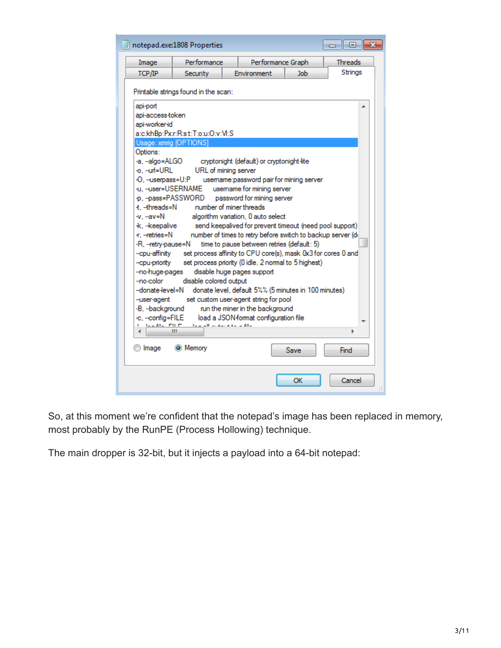|                                                                                                                                                                                                                                                                                                                                                                      | notepad.exe:1808 Properties                                                                                                                                                                                                                                                                                                                                                                                                                                                                                                                                         |                                 |                                                                                                                                                                                               |  | -23<br>$\overline{\phantom{a}}$ $\overline{\phantom{a}}$ |  |  |
|----------------------------------------------------------------------------------------------------------------------------------------------------------------------------------------------------------------------------------------------------------------------------------------------------------------------------------------------------------------------|---------------------------------------------------------------------------------------------------------------------------------------------------------------------------------------------------------------------------------------------------------------------------------------------------------------------------------------------------------------------------------------------------------------------------------------------------------------------------------------------------------------------------------------------------------------------|---------------------------------|-----------------------------------------------------------------------------------------------------------------------------------------------------------------------------------------------|--|----------------------------------------------------------|--|--|
| Image                                                                                                                                                                                                                                                                                                                                                                | Performance                                                                                                                                                                                                                                                                                                                                                                                                                                                                                                                                                         |                                 | Performance Graph                                                                                                                                                                             |  | <b>Threads</b>                                           |  |  |
| TCP/IP                                                                                                                                                                                                                                                                                                                                                               | Environment<br><b>Security</b><br>Job.                                                                                                                                                                                                                                                                                                                                                                                                                                                                                                                              |                                 |                                                                                                                                                                                               |  |                                                          |  |  |
| api-port<br>api-access-token<br>api-worker-id<br>Usage: xmrig [OPTIONS]<br>Options:<br>-a. --algo=ALGO<br>-o, --url=URL<br>-O, --userpass=U:P<br>-u, --user=USERNAME<br>t. -threads=N<br>-v. --av=N<br>k, -keepalive<br>-r, --retries=N<br>-R, --retry-pause=N<br>--cpu-affinity<br>--cpu-priority<br>-no-huge-pages<br>-no-color<br>--donate-level=N<br>-user-agent | Printable strings found in the scan:<br>ato:khBp:Pxtr:Rts.t:Ttotu:Otv:M:S<br>URL of mining server<br>p. -pass=PASSWORD password for mining server<br>number of miner threads<br>algorithm variation. 0 auto select<br>number of times to retry before switch to backup server (di<br>set process affinity to CPU core(s), mask 0x3 for cores 0 and<br>set process priority (0 idle, 2 normal to 5 highest)<br>disable huge pages support<br>disable colored output<br>donate level, default 5%% (5 minutes in 100 minutes)<br>set custom user-agent string for pool | usemame for mining server       | cryptonight (default) or cryptonight-lite<br>usemame:password pair for mining server<br>send keepalived for prevent timeout (need pool support)<br>time to pause between retries (default: 5) |  | Strings                                                  |  |  |
| -B, --background                                                                                                                                                                                                                                                                                                                                                     |                                                                                                                                                                                                                                                                                                                                                                                                                                                                                                                                                                     | run the miner in the background |                                                                                                                                                                                               |  |                                                          |  |  |
| -c, --config=FILE<br>$L = LL$ $L = L$                                                                                                                                                                                                                                                                                                                                | The could be above a size of the                                                                                                                                                                                                                                                                                                                                                                                                                                                                                                                                    |                                 | load a JSON-format configuration file                                                                                                                                                         |  |                                                          |  |  |
|                                                                                                                                                                                                                                                                                                                                                                      | ш                                                                                                                                                                                                                                                                                                                                                                                                                                                                                                                                                                   |                                 |                                                                                                                                                                                               |  | Þ                                                        |  |  |
| Image                                                                                                                                                                                                                                                                                                                                                                | <b>O</b> Memory                                                                                                                                                                                                                                                                                                                                                                                                                                                                                                                                                     |                                 | Save                                                                                                                                                                                          |  | Find                                                     |  |  |
|                                                                                                                                                                                                                                                                                                                                                                      |                                                                                                                                                                                                                                                                                                                                                                                                                                                                                                                                                                     |                                 | OK                                                                                                                                                                                            |  | Cancel                                                   |  |  |

So, at this moment we're confident that the notepad's image has been replaced in memory, most probably by the RunPE (Process Hollowing) technique.

The main dropper is 32-bit, but it injects a payload into a 64-bit notepad: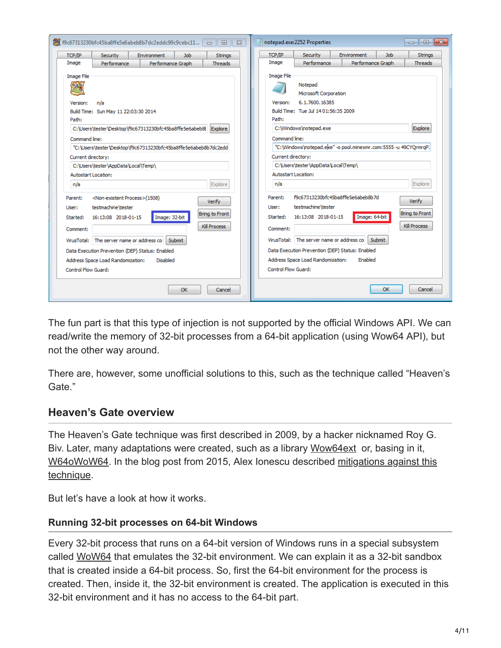| Environment<br>TCP/IP<br>Security<br>Strings<br><b>Job</b><br>Strings<br>Job<br>TCP/IP<br>Security<br>Environment<br>Image<br>Performance Graph<br>Performance<br><b>Threads</b><br>Image<br>Performance<br>Performance Graph<br><b>Threads</b><br><b>Image File</b><br><b>Image File</b><br>Notepad<br>Microsoft Corporation<br>6.1.7600.16385<br>n/a<br>Version:<br>Version:<br>Build Time: Tue Jul 14 01:56:35 2009<br>Build Time: Sun May 11 22:03:30 2014<br>Path:<br>Path:<br>Explore<br>C:\Users\tester\Desktop\f9c67313230bfc45ba8ffe5e6abeb8l Explore<br>C:\Windows\notepad.exe<br>Command line:<br>Command line:<br>"C:\Windows\notepad.eke" -o pool.minexmr.com:5555 -u 49CYOrmrqP.<br>"C:\Users\tester\Desktop\f9c67313230bfc45ba8ffe5e6abeb8b7dc2edd<br>Current directory:<br>Current directory:<br>C:\Users\tester\AppData\Local\Temp\<br>C:\Users\tester\AppData\Local\Temp\<br>Autostart Location:<br>Autostart Location:<br>Explore<br>Explore<br>n/a<br>n/a<br>f9c67313230bfc45ba8ffe5e6abeb8b7d<br><non-existent process="">(1508)<br/>Parent:<br/>Parent:<br/>Verify<br/>Verify<br/>testmachine\tester<br/>testmachine\tester<br/>User:<br/>User:<br/>Bring to Front<br/><b>Bring to Front</b><br/>16:13:08 2018-01-15<br/>Image: 64-bit<br/>Image: 32-bit<br/>Started:<br/>16:13:08 2018-01-15<br/>Started:<br/>Kill Process<br/>Kill Process<br/>Comment:<br/>Comment:<br/>VirusTotal: The server name or address co<br/>Submit<br/>VirusTotal: The server name or address co<br/>Submit<br/>Data Execution Prevention (DEP) Status: Enabled<br/>Data Execution Prevention (DEP) Status: Enabled<br/>Address Space Load Randomization:<br/>Enabled<br/>Address Space Load Randomization:<br/><b>Disabled</b><br/>Control Flow Guard:<br/>Control Flow Guard:</non-existent> | 图 f9c67313230bfc45ba8ffe5e6abeb8b7dc2eddc99c9cebc11   □<br>$\Box$<br>$\Sigma$ | $\parallel x$<br>notepad.exe:2252 Properties<br>$\Box$<br>$\Box$ |
|---------------------------------------------------------------------------------------------------------------------------------------------------------------------------------------------------------------------------------------------------------------------------------------------------------------------------------------------------------------------------------------------------------------------------------------------------------------------------------------------------------------------------------------------------------------------------------------------------------------------------------------------------------------------------------------------------------------------------------------------------------------------------------------------------------------------------------------------------------------------------------------------------------------------------------------------------------------------------------------------------------------------------------------------------------------------------------------------------------------------------------------------------------------------------------------------------------------------------------------------------------------------------------------------------------------------------------------------------------------------------------------------------------------------------------------------------------------------------------------------------------------------------------------------------------------------------------------------------------------------------------------------------------------------------------------------------------------------------------------------------------------------------------------------------|-------------------------------------------------------------------------------|------------------------------------------------------------------|
|                                                                                                                                                                                                                                                                                                                                                                                                                                                                                                                                                                                                                                                                                                                                                                                                                                                                                                                                                                                                                                                                                                                                                                                                                                                                                                                                                                                                                                                                                                                                                                                                                                                                                                                                                                                                   |                                                                               |                                                                  |
|                                                                                                                                                                                                                                                                                                                                                                                                                                                                                                                                                                                                                                                                                                                                                                                                                                                                                                                                                                                                                                                                                                                                                                                                                                                                                                                                                                                                                                                                                                                                                                                                                                                                                                                                                                                                   |                                                                               |                                                                  |
|                                                                                                                                                                                                                                                                                                                                                                                                                                                                                                                                                                                                                                                                                                                                                                                                                                                                                                                                                                                                                                                                                                                                                                                                                                                                                                                                                                                                                                                                                                                                                                                                                                                                                                                                                                                                   |                                                                               |                                                                  |

The fun part is that this type of injection is not supported by the official Windows API. We can read/write the memory of 32-bit processes from a 64-bit application (using Wow64 API), but not the other way around.

There are, however, some unofficial solutions to this, such as the technique called "Heaven's Gate."

## **Heaven's Gate overview**

The Heaven's Gate technique was first described in 2009, by a hacker nicknamed Roy G. Biv. Later, many adaptations were created, such as a library [Wow64ext](https://github.com/rwfpl/rewolf-wow64ext) or, basing in it, [W64oWoW64](https://github.com/georgenicolaou/W64oWoW64)[. In the blog post from 2015, Alex Ionescu described mitigations against this](http://www.alex-ionescu.com/?p=300) technique.

But let's have a look at how it works.

#### **Running 32-bit processes on 64-bit Windows**

Every 32-bit process that runs on a 64-bit version of Windows runs in a special subsystem called [WoW64](https://en.wikipedia.org/wiki/WoW64) that emulates the 32-bit environment. We can explain it as a 32-bit sandbox that is created inside a 64-bit process. So, first the 64-bit environment for the process is created. Then, inside it, the 32-bit environment is created. The application is executed in this 32-bit environment and it has no access to the 64-bit part.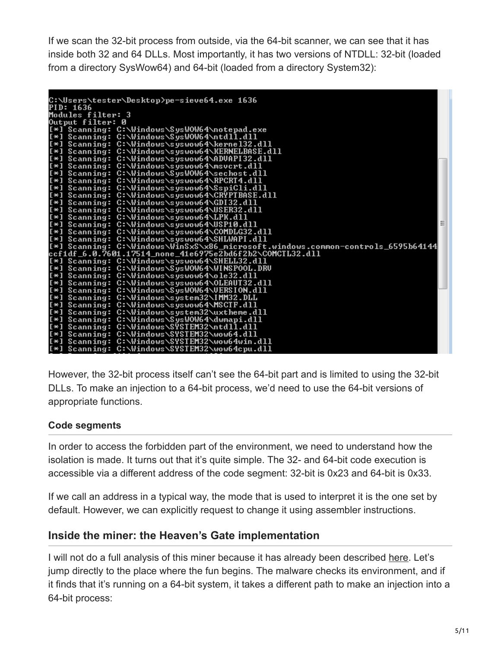If we scan the 32-bit process from outside, via the 64-bit scanner, we can see that it has inside both 32 and 64 DLLs. Most importantly, it has two versions of NTDLL: 32-bit (loaded from a directory SysWow64) and 64-bit (loaded from a directory System32):

| C:\Users\tester\Desktop>pe-sieve64.exe 1636                                                    |  |
|------------------------------------------------------------------------------------------------|--|
| PID: 1636                                                                                      |  |
| Modules filter: 3                                                                              |  |
| Output filter: 0                                                                               |  |
| [*] Scanning: C:\Windows\SysWOW64\notepad.exe                                                  |  |
| [*] Scanning: C:\Windows\SysWOW64\ntdll.dll                                                    |  |
| [[*] Scanning: C:\Windows\syswow64\kerne132.dll                                                |  |
| [*] Scanning: C:\Windows\syswow64\KERNELBASE.dll                                               |  |
| [*] Scanning: C:\Windows\syswow64\ADVAPI32.dll                                                 |  |
| [*] Scanning: C:\Windows\syswow64\msvcrt.dll                                                   |  |
| [*] Scanning: C:\Windows\SysWOW64\sechost.dll                                                  |  |
| [*] Scanning: C:\Windows\syswow64\RPCRT4.dll                                                   |  |
| [*] Scanning: C:\Windows\syswow64\SspiCli.dll                                                  |  |
| [*] Scanning: C:\Windows\syswow64\CRYPTBASE.dll                                                |  |
| [*] Scanning: C:\Windows\syswow64\GDI32.dll                                                    |  |
| [*] Scanning: C:\Windows\syswow64\USER32.dll                                                   |  |
| [*] Scanning: C:\Windows\syswow64\LPK.dll                                                      |  |
| [*] Scanning: C:\Windows\syswow64\USP10.dll                                                    |  |
| [[*] Scanning: C:\Windows\syswow64\COMDLG32.dll                                                |  |
| [*] Scanning: C:\Windows\syswow64\SHLWAPI.dll                                                  |  |
| [*1 Scanning: C:\Windows\WinSxS\x86_microsoft.windows.common-controls_6595b64144               |  |
| ccf1df_6.0.7601.17514_none_41e6975e2bd6f2b2\COMCTL32.dll                                       |  |
| [*] Scanning: C:\Windows\syswow64\SHELL32.dll                                                  |  |
| l[*] Scanning: C:\Windows\SysWOW64\WINSPOOL.DRU<br>[*] Scanning: C:\Windows\syswow64\ole32.dll |  |
| [*] Scanning: C:\Windows\syswow64\OLEAUT32.dll                                                 |  |
| [*] Scanning: C:\Windows\SysWOW64\UERSION.dll                                                  |  |
| [*] Scanning: C:\Windows\system32\IMM32.DLL                                                    |  |
| [*] Scanning: C:\Windows\syswow64\MSCTF.dll                                                    |  |
| [*] Scanning: C:\Windows\system32\uxtheme.dll                                                  |  |
| [*] Scanning: C:\Windows\SysWOW64\dwmapi.dll                                                   |  |
| [*] Scanning: C:\Windows\SYSTEM32\ntdll.dll                                                    |  |
| [*] Scanning: C:\Windows\SYSTEM32\wow64.dll                                                    |  |
| [*] Scanning: C:\Windows\SYSTEM32\wow64win.dll                                                 |  |
| [*] Scanning: C:\Windows\SYSTEM32\wow64cpu.dll                                                 |  |
|                                                                                                |  |

However, the 32-bit process itself can't see the 64-bit part and is limited to using the 32-bit DLLs. To make an injection to a 64-bit process, we'd need to use the 64-bit versions of appropriate functions.

## **Code segments**

In order to access the forbidden part of the environment, we need to understand how the isolation is made. It turns out that it's quite simple. The 32- and 64-bit code execution is accessible via a different address of the code segment: 32-bit is 0x23 and 64-bit is 0x33.

If we call an address in a typical way, the mode that is used to interpret it is the one set by default. However, we can explicitly request to change it using assembler instructions.

# **Inside the miner: the Heaven's Gate implementation**

I will not do a full analysis of this miner because it has already been described [here.](https://secrary.com/ReversingMalware/CoinMiner/) Let's jump directly to the place where the fun begins. The malware checks its environment, and if it finds that it's running on a 64-bit system, it takes a different path to make an injection into a 64-bit process: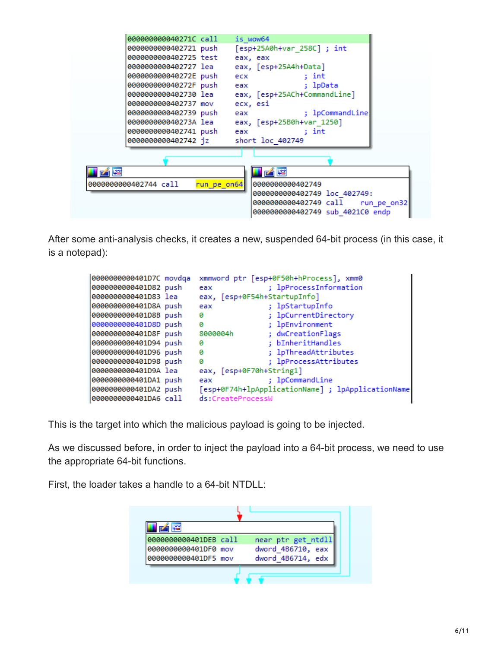| 000000000040271C call a               | is wow64                                                                                                                          |
|---------------------------------------|-----------------------------------------------------------------------------------------------------------------------------------|
| 0000000000402721 push                 | [esp+25A0h+var_258C] ; int                                                                                                        |
| 0000000000402725 test                 | eax, eax                                                                                                                          |
| 0000000000402727 lea                  | eax, [esp+25A4h+Data]                                                                                                             |
| 000000000040272E push                 | : int<br>ecx                                                                                                                      |
| 0000000000040272F push eax            | ; lpData                                                                                                                          |
| 0000000000402730 lea                  | eax, [esp+25ACh+CommandLine]                                                                                                      |
| 0000000000402737 mov                  | ecx, esi                                                                                                                          |
| 0000000000402739 push                 | ; lpCommandLine<br>eax and the state of the state of the state of the state of the state of the state of the state of the state o |
| 000000000040273A lea                  | eax, [esp+25B0h+var 1250]                                                                                                         |
| 0000000000402741 push eax             | : int                                                                                                                             |
| 00000000000402742 jz short loc 402749 |                                                                                                                                   |
|                                       |                                                                                                                                   |
|                                       |                                                                                                                                   |
| fi階                                   |                                                                                                                                   |
| 0000000000402744 call<br>run_pe_on64  | 0000000000402749                                                                                                                  |
|                                       | 0000000000402749 loc 402749:                                                                                                      |
|                                       | 0000000000402749 call<br>run pe on32                                                                                              |
|                                       | 0000000000402749 sub 4021C0 endp                                                                                                  |
|                                       |                                                                                                                                   |

After some anti-analysis checks, it creates a new, suspended 64-bit process (in this case, it is a notepad):

| 0000000000401D7C movdqa | xmmword ptr [esp+0F50h+hProcess], xmm0            |
|-------------------------|---------------------------------------------------|
| 0000000000401D82 push   | ; lpProcessInformation<br>eax                     |
| 0000000000401D83 lea    | eax, [esp+0F54h+StartupInfo]                      |
| 0000000000401D8A push   | ; lpStartupInfo<br>eax                            |
| 0000000000401D8B push   | ; lpCurrentDirectory<br>ø                         |
| 0000000000401D8D push   | ; lpEnvironment<br>ø                              |
| 0000000000401D8F push   | ; dwCreationFlags<br>8000004h                     |
| 0000000000401D94 push   | : bInheritHandles<br>0                            |
| 0000000000401D96 push   | ; lpThreadAttributes<br>ø                         |
| 0000000000401D98 push   | ; lpProcessAttributes<br>ø                        |
| 0000000000401D9A lea    | eax, [esp+0F70h+String1]                          |
| 0000000000401DA1 push   | ; lpCommandLine<br>eax                            |
| 0000000000401DA2 push   | [esp+0F74h+lpApplicationName] ; lpApplicationName |
| 0000000000401DA6 call   | ds:CreateProcessW                                 |

This is the target into which the malicious payload is going to be injected.

As we discussed before, in order to inject the payload into a 64-bit process, we need to use the appropriate 64-bit functions.

First, the loader takes a handle to a 64-bit NTDLL:

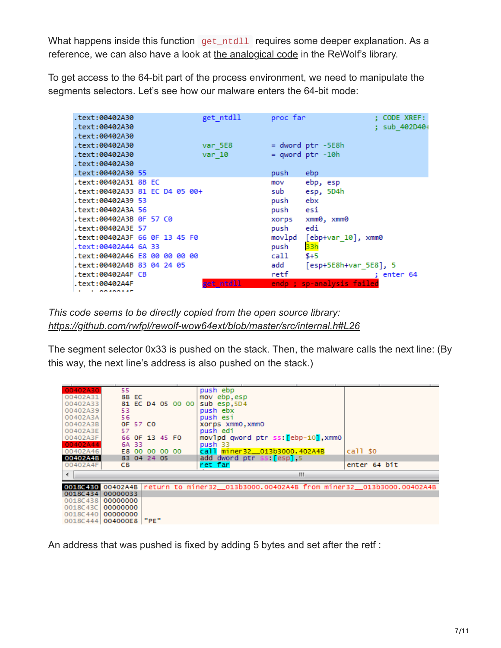What happens inside this function get\_ntdll requires some deeper explanation. As a reference, we can also have a look at [the analogical code](https://github.com/rwfpl/rewolf-wow64ext/blob/fd28b57fe926f3e57540850c37cdbcc766173dba/src/wow64ext.cpp#L298) in the ReWolf's library.

To get access to the 64-bit part of the process environment, we need to manipulate the segments selectors. Let's see how our malware enters the 64-bit mode:

| text:00402A30.<br>text:00402A30. |  |  | get_ntdll | proc far |                           | : CODE XREF:<br>: sub 402D40+ |
|----------------------------------|--|--|-----------|----------|---------------------------|-------------------------------|
| text:00402A30.                   |  |  |           |          |                           |                               |
| text:00402A30.                   |  |  | var 5E8   |          | $=$ dword ptr $-5E8h$     |                               |
| text:00402A30.                   |  |  | $var$ 10  |          | $=$ qword ptr $-10h$      |                               |
| text:00402A30.                   |  |  |           |          |                           |                               |
| text:00402A30 55.                |  |  |           | push     | ebp                       |                               |
| .text:00402A31 8B EC             |  |  |           | mov      | ebp, esp                  |                               |
| text:00402A33 81 EC D4 05 00+.   |  |  |           | sub      | esp, 5D4h                 |                               |
| text:00402A39 53.                |  |  |           | push     | ebx                       |                               |
| text:00402A3A 56.                |  |  |           | push     | esi                       |                               |
| text:00402A3B 0F 57 C0.          |  |  |           |          | xorps xmm0, xmm0          |                               |
| text:00402A3E 57.                |  |  |           | push     | edi                       |                               |
| text:00402A3F 66 0F 13 45 F0.    |  |  |           |          | movlpd [ebp+var_10], xmm0 |                               |
| text:00402A44 6A 33.             |  |  |           | push     | 33h                       |                               |
| text:00402A46 E8 00 00 00 00.    |  |  |           | call     | $$+5$                     |                               |
| text:00402A4B 83 04 24 05.       |  |  |           | add      | [esp+5E8h+var_5E8], 5     |                               |
| .text:00402A4F CB                |  |  |           | retf     |                           | : enter 64                    |
| text:00402A4F.                   |  |  | get ntdll |          | endp ; sp-analysis failed |                               |
| 1.0000000000                     |  |  |           |          |                           |                               |

*This code seems to be directly copied from the open source library: <https://github.com/rwfpl/rewolf-wow64ext/blob/master/src/internal.h#L26>*

The segment selector 0x33 is pushed on the stack. Then, the malware calls the next line: (By this way, the next line's address is also pushed on the stack.)

| 00402A30<br>00402A31<br>00402A33<br>00402A39<br>00402A3A        | 55.<br>53<br>56      | 8B EC |             |                                  | 81 EC D4 05 00 00 | push ebp<br>mov ebp, esp<br>sub esp, 5D4<br>push ebx<br>push esi                    |                         |
|-----------------------------------------------------------------|----------------------|-------|-------------|----------------------------------|-------------------|-------------------------------------------------------------------------------------|-------------------------|
| 00402A3B<br>00402A3E                                            | 57                   |       | OF 57 CO    |                                  |                   | xorps xmm0, xmm0<br>push edi                                                        |                         |
| 00402A3F<br>00402A44<br>00402A46                                |                      | 6A 33 |             | 66 OF 13 45 FO<br>E8 00 00 00 00 |                   | movlpd qword ptr ss: [ebp-10], xmm0<br>push 33<br>call miner32_013b3000.402A4B      | $call$ $s$ <sup>0</sup> |
| 00402A4B<br>00402A4F                                            | CB.                  |       | 83 04 24 05 |                                  |                   | add dword ptr ss: [esp], 5<br>ret far                                               | enter 64 bit            |
| ◀                                                               |                      |       |             |                                  |                   | ш                                                                                   |                         |
| 0018C434                                                        | 00000033             |       |             |                                  |                   | 0018430 00402A4B return to miner32_013b3000.00402A4B from miner32_013b3000.00402A4B |                         |
| 0018C438<br>0018C43Cl<br>0018C440 00000000<br>0018C444 004000E8 | 00000000<br>00000000 |       | "PE"        |                                  |                   |                                                                                     |                         |

An address that was pushed is fixed by adding 5 bytes and set after the retf :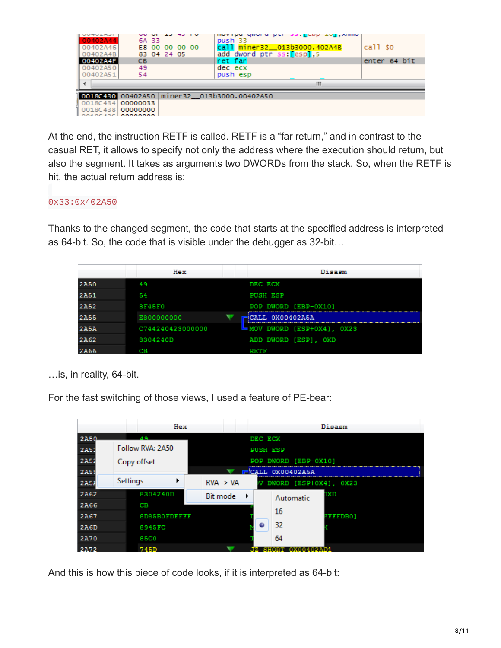| <b>UUTULAJI</b><br>00402A44<br>00402A46<br>00402A4B<br>00402A4F<br>00402A50<br>00402A51 | 6A 33<br><b>CB</b><br>49<br>54 | E8 00 00 00 00<br>83 04 24 05 | movipu gnoru per<br>push 33<br>call miner32_013b3000.402A4B<br>add dword ptr ss: [esp], 5<br>iret fari<br>dec ecx<br>push esp | <b>SSIECHE TALLING</b> | $call$ $s$ <sup>0</sup><br>enter 64 bit |
|-----------------------------------------------------------------------------------------|--------------------------------|-------------------------------|-------------------------------------------------------------------------------------------------------------------------------|------------------------|-----------------------------------------|
|                                                                                         |                                |                               |                                                                                                                               | Ш                      |                                         |
| 0018C434<br>0018C438                                                                    | 00000033<br>00000000           |                               | 0018C430 00402A50 miner32 013b3000.00402A50                                                                                   |                        |                                         |

At the end, the instruction RETF is called. RETF is a "far return," and in contrast to the casual RET, it allows to specify not only the address where the execution should return, but also the segment. It takes as arguments two DWORDs from the stack. So, when the RETF is hit, the actual return address is:

#### 0x33:0x402A50

Thanks to the changed segment, the code that starts at the specified address is interpreted as 64-bit. So, the code that is visible under the debugger as 32-bit…

|             | Hex              | Disasm                    |
|-------------|------------------|---------------------------|
| <b>2A50</b> | 49               | DEC ECX                   |
| <b>2A51</b> | 54               | <b>PUSH ESP</b>           |
| <b>2A52</b> | <b>8F45F0</b>    | POP DWORD [EBP-0X10]      |
| <b>2A55</b> | E800000000       | CALL 0X00402A5A           |
| <b>2A5A</b> | C744240423000000 | MOV DWORD [ESP+0X4], 0X23 |
| <b>2A62</b> | 8304240D         | ADD DWORD [ESP], OXD      |
| <b>2A66</b> | ŒΒ               |                           |

…is, in reality, 64-bit.

For the fast switching of those views, I used a feature of PE-bear:

|             |          | Hex                 |                      |   |                 |                          | Disasm          |
|-------------|----------|---------------------|----------------------|---|-----------------|--------------------------|-----------------|
| <b>2A50</b> |          | $\Lambda$ Q         |                      |   | DEC ECX         |                          |                 |
| 2A5:        |          | Follow RVA: 2A50    |                      |   | <b>PUSH ESP</b> |                          |                 |
| 2A52        |          | Copy offset         |                      |   |                 | POP DWORD [EBP-0X10]     |                 |
| 2A55        |          |                     |                      |   |                 | $\equiv$ CALL 0X00402A5A |                 |
| 2A57        | Settings |                     | $RVA \rightarrow VA$ |   |                 | DWORD [ESP+0X4], 0X23    |                 |
| 2A62        |          | 8304240D            | Bit mode             | ▸ |                 | Automatic                | DXD             |
| <b>2A66</b> |          | CВ                  |                      |   |                 |                          |                 |
| 2A67        |          | <b>8D85B0FDFFFF</b> |                      |   |                 | 16                       | <b>FFFFDB01</b> |
| 2A6D        |          | 8945FC              |                      |   | ٠               | 32                       |                 |
| 2A70        |          | 85C0                |                      |   |                 | 64                       |                 |
| 2A72        |          | 745D                |                      |   |                 |                          |                 |

And this is how this piece of code looks, if it is interpreted as 64-bit: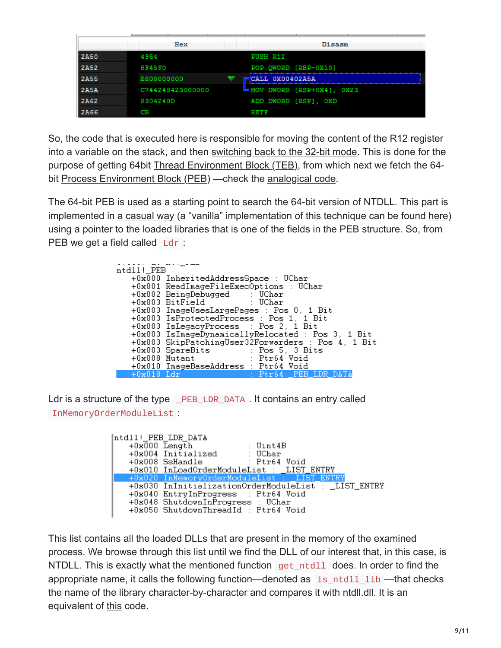|             | Hex              | Disasm                      |
|-------------|------------------|-----------------------------|
| 2A50        | 4954             | <b>PUSH R12</b>             |
| 2A52        | <b>8F45F0</b>    | POP QWORD [RBP-0X10]        |
| <b>2A55</b> | E800000000       | CALL 0X00402A5A             |
| <b>2A5A</b> | C744240423000000 | ┗ MOV DWORD [RSP+0X4], 0X23 |
| 2A62        | 8304240D         | ADD DWORD [RSP], OXD        |
| <b>2A66</b> | св               | RETE                        |

So, the code that is executed here is responsible for moving the content of the R12 register into a variable on the stack, and then [switching back to the 32-bit mode](https://github.com/rwfpl/rewolf-wow64ext/blob/master/src/internal.h#L34). This is done for the purpose of getting 64bit [Thread Environment Block \(TEB\),](https://en.wikipedia.org/wiki/Win32_Thread_Information_Block) from which next we fetch the 64-bit [Process Environment Block \(PEB\)](https://en.wikipedia.org/wiki/Process_Environment_Block) - check the [analogical code](https://github.com/rwfpl/rewolf-wow64ext/blob/fd28b57fe926f3e57540850c37cdbcc766173dba/src/wow64ext.cpp#L283).

The 64-bit PEB is used as a starting point to search the 64-bit version of NTDLL. This part is implemented in [a casual way](https://github.com/rwfpl/rewolf-wow64ext/blob/fd28b57fe926f3e57540850c37cdbcc766173dba/src/wow64ext.cpp#L303) (a "vanilla" implementation of this technique can be found [here\)](https://github.com/hasherezade/demos/tree/master/functions_loader/src) using a pointer to the loaded libraries that is one of the fields in the PEB structure. So, from PEB we get a field called Ldr :

| ntdll! PEB   |                                                    |
|--------------|----------------------------------------------------|
|              |                                                    |
|              | +0x000 InheritedAddressSpace : UChar               |
|              | +0x001 ReadImageFileExecOptions : UChar            |
|              | $+0x002$ BeingDebugged : UChar                     |
|              | +0x003 BitField : UChar                            |
|              | +0x003 ImageUsesLargePages : Pos 0, 1 Bit          |
|              | +0x003 IsProtectedProcess : Pos 1, 1 Bit           |
|              | +0x003 IsLegacyProcess : Pos 2, 1 Bit              |
|              | +0x003 IsImageDynamicallyRelocated : Pos 3, 1 Bit  |
|              | +0x003 SkipPatchingUser32Forwarders : Pos 4, 1 Bit |
|              | +0x003 SpareBits : Pos 5, 3 Bits                   |
|              | +0x008 Mutant : Ptr64 Void                         |
|              | +0x010 ImageBaseAddress : Ptr64 Void               |
| $+0x018$ Ldr | <b>Example: 2019 11: Ptr64 PEB LDR DATA</b>        |

Ldr is a structure of the type \_PEB\_LDR\_DATA . It contains an entry called InMemoryOrderModuleList :

> ntdll! PEB LDR DATA -10x000 Length<br>
> +0x000 Length<br>
> +0x004 Initialized : UChar<br>
> +0x008 SsHandle : Ptr64 Void<br>
> +0x010 InLoadOrderModuleList : \_LIST\_ENTRY +0x020 InMemoryOrderModuleList ST ENTR' +0x030 InInitializationOrderModuleList : \_LIST\_ENTRY +0x040 EntryInProgress : Ptr64 Void +0x048 ShutdownInProgress : UChar +0x050 ShutdownThreadId : Ptr64 Void

This list contains all the loaded DLLs that are present in the memory of the examined process. We browse through this list until we find the DLL of our interest that, in this case, is NTDLL. This is exactly what the mentioned function get  $\mu$  ntdll does. In order to find the appropriate name, it calls the following function—denoted as is\_ntdll\_lib —that checks the name of the library character-by-character and compares it with ntdll.dll. It is an equivalent of [this](https://github.com/rwfpl/rewolf-wow64ext/blob/fd28b57fe926f3e57540850c37cdbcc766173dba/src/wow64ext.cpp#L324) code.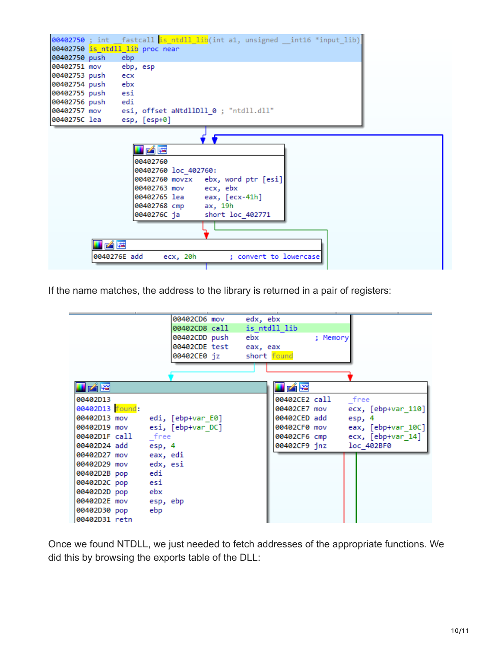|                              |              | 00402750; int fastcall is ntdll lib(int a1, unsigned int16 *input lib)<br>00402750 is ntdll lib proc near                                                                                          |
|------------------------------|--------------|----------------------------------------------------------------------------------------------------------------------------------------------------------------------------------------------------|
| 00402750 push ebp            |              |                                                                                                                                                                                                    |
| 00402751 mov                 |              | ebp, esp                                                                                                                                                                                           |
| 00402753 push                |              | ecx                                                                                                                                                                                                |
| 00402754 push                |              | ebx                                                                                                                                                                                                |
| 00402755 push esi            |              |                                                                                                                                                                                                    |
| 00402756 push                |              | edi                                                                                                                                                                                                |
| 00402757 mov<br>0040275C lea |              | esi, offset aNtdllDll 0 ; "ntdll.dll"                                                                                                                                                              |
|                              |              | esp, [esp+0]                                                                                                                                                                                       |
|                              |              | KE<br>00402760<br>00402760 loc 402760:<br>00402760 movzx ebx, word ptr [esi]<br>00402763 mov ecx, ebx<br>00402765 lea eax, [ecx-41h]<br>00402768 cmp<br>ax, 19h<br>0040276С ја<br>short loc 402771 |
|                              |              |                                                                                                                                                                                                    |
|                              | 凶降           |                                                                                                                                                                                                    |
|                              | 0040276E add | ; convert to lowercase<br>ecx, 20h                                                                                                                                                                 |
|                              |              |                                                                                                                                                                                                    |

If the name matches, the address to the library is returned in a pair of registers:



Once we found NTDLL, we just needed to fetch addresses of the appropriate functions. We did this by browsing the exports table of the DLL: